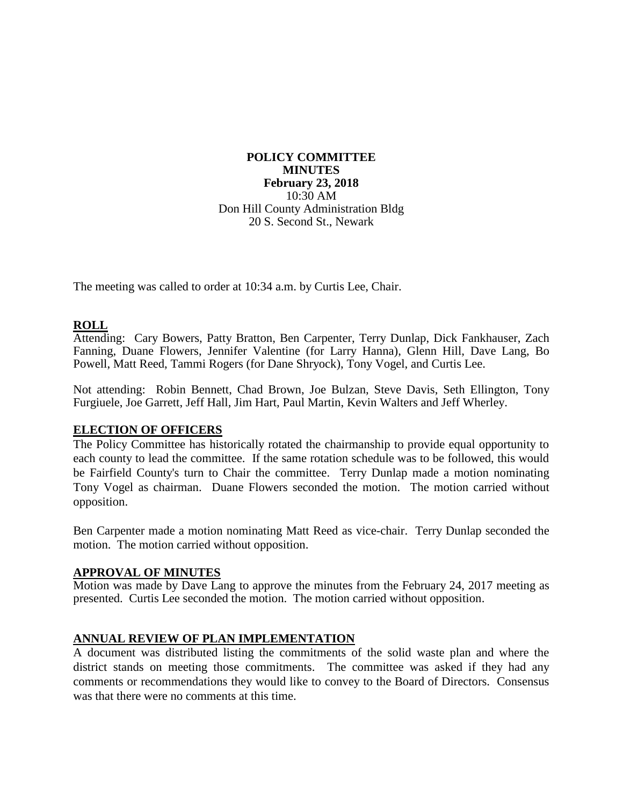**POLICY COMMITTEE MINUTES February 23, 2018** 10:30 AM Don Hill County Administration Bldg 20 S. Second St., Newark

The meeting was called to order at 10:34 a.m. by Curtis Lee, Chair.

## **ROLL**

Attending: Cary Bowers, Patty Bratton, Ben Carpenter, Terry Dunlap, Dick Fankhauser, Zach Fanning, Duane Flowers, Jennifer Valentine (for Larry Hanna), Glenn Hill, Dave Lang, Bo Powell, Matt Reed, Tammi Rogers (for Dane Shryock), Tony Vogel, and Curtis Lee.

Not attending: Robin Bennett, Chad Brown, Joe Bulzan, Steve Davis, Seth Ellington, Tony Furgiuele, Joe Garrett, Jeff Hall, Jim Hart, Paul Martin, Kevin Walters and Jeff Wherley.

### **ELECTION OF OFFICERS**

The Policy Committee has historically rotated the chairmanship to provide equal opportunity to each county to lead the committee. If the same rotation schedule was to be followed, this would be Fairfield County's turn to Chair the committee. Terry Dunlap made a motion nominating Tony Vogel as chairman. Duane Flowers seconded the motion. The motion carried without opposition.

Ben Carpenter made a motion nominating Matt Reed as vice-chair. Terry Dunlap seconded the motion. The motion carried without opposition.

#### **APPROVAL OF MINUTES**

Motion was made by Dave Lang to approve the minutes from the February 24, 2017 meeting as presented. Curtis Lee seconded the motion. The motion carried without opposition.

### **ANNUAL REVIEW OF PLAN IMPLEMENTATION**

A document was distributed listing the commitments of the solid waste plan and where the district stands on meeting those commitments. The committee was asked if they had any comments or recommendations they would like to convey to the Board of Directors. Consensus was that there were no comments at this time.